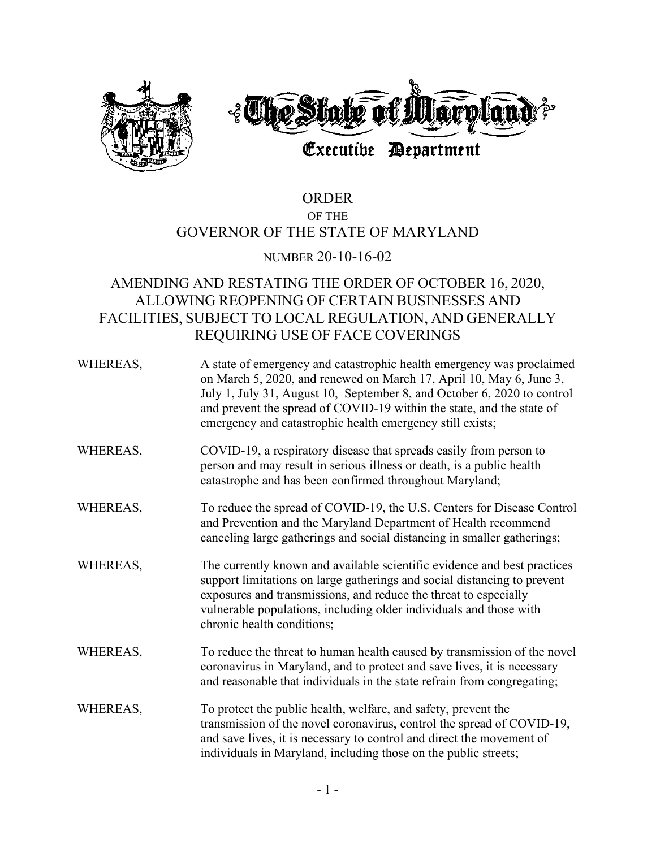

# ORDER OF THE GOVERNOR OF THE STATE OF MARYLAND

### NUMBER 20-10-16-02

## AMENDING AND RESTATING THE ORDER OF OCTOBER 16, 2020, ALLOWING REOPENING OF CERTAIN BUSINESSES AND FACILITIES, SUBJECT TO LOCAL REGULATION, AND GENERALLY REQUIRING USE OF FACE COVERINGS

| WHEREAS, | A state of emergency and catastrophic health emergency was proclaimed<br>on March 5, 2020, and renewed on March 17, April 10, May 6, June 3,<br>July 1, July 31, August 10, September 8, and October 6, 2020 to control<br>and prevent the spread of COVID-19 within the state, and the state of<br>emergency and catastrophic health emergency still exists; |
|----------|---------------------------------------------------------------------------------------------------------------------------------------------------------------------------------------------------------------------------------------------------------------------------------------------------------------------------------------------------------------|
| WHEREAS, | COVID-19, a respiratory disease that spreads easily from person to<br>person and may result in serious illness or death, is a public health<br>catastrophe and has been confirmed throughout Maryland;                                                                                                                                                        |
| WHEREAS, | To reduce the spread of COVID-19, the U.S. Centers for Disease Control<br>and Prevention and the Maryland Department of Health recommend<br>canceling large gatherings and social distancing in smaller gatherings;                                                                                                                                           |
| WHEREAS, | The currently known and available scientific evidence and best practices<br>support limitations on large gatherings and social distancing to prevent<br>exposures and transmissions, and reduce the threat to especially<br>vulnerable populations, including older individuals and those with<br>chronic health conditions;                                  |
| WHEREAS, | To reduce the threat to human health caused by transmission of the novel<br>coronavirus in Maryland, and to protect and save lives, it is necessary<br>and reasonable that individuals in the state refrain from congregating;                                                                                                                                |
| WHEREAS, | To protect the public health, welfare, and safety, prevent the<br>transmission of the novel coronavirus, control the spread of COVID-19,<br>and save lives, it is necessary to control and direct the movement of<br>individuals in Maryland, including those on the public streets;                                                                          |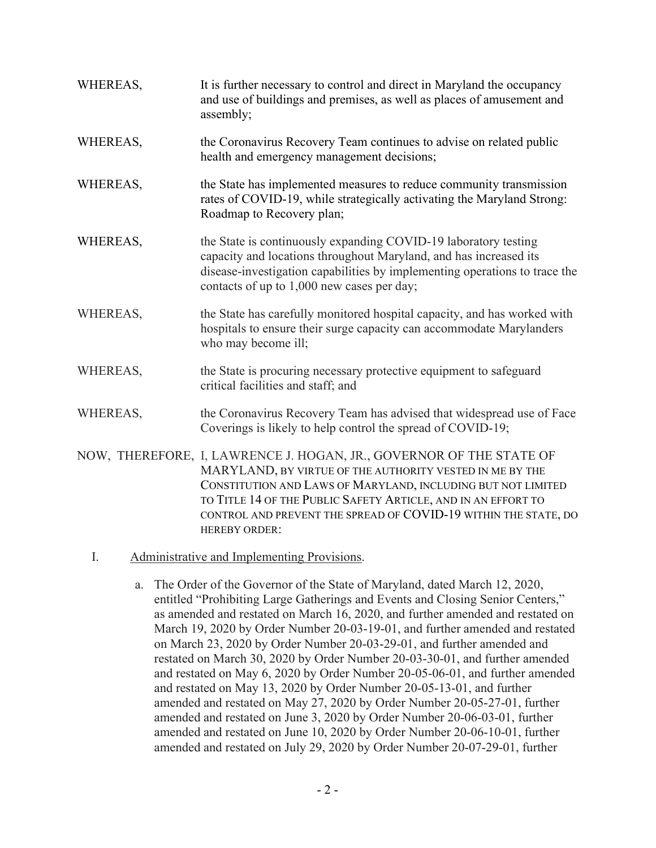| WHEREAS, | It is further necessary to control and direct in Maryland the occupancy<br>and use of buildings and premises, as well as places of amusement and<br>assembly;                                                                                                                                                                                               |
|----------|-------------------------------------------------------------------------------------------------------------------------------------------------------------------------------------------------------------------------------------------------------------------------------------------------------------------------------------------------------------|
| WHEREAS, | the Coronavirus Recovery Team continues to advise on related public<br>health and emergency management decisions;                                                                                                                                                                                                                                           |
| WHEREAS, | the State has implemented measures to reduce community transmission<br>rates of COVID-19, while strategically activating the Maryland Strong:<br>Roadmap to Recovery plan;                                                                                                                                                                                  |
| WHEREAS, | the State is continuously expanding COVID-19 laboratory testing<br>capacity and locations throughout Maryland, and has increased its<br>disease-investigation capabilities by implementing operations to trace the<br>contacts of up to 1,000 new cases per day;                                                                                            |
| WHEREAS, | the State has carefully monitored hospital capacity, and has worked with<br>hospitals to ensure their surge capacity can accommodate Marylanders<br>who may become ill;                                                                                                                                                                                     |
| WHEREAS, | the State is procuring necessary protective equipment to safeguard<br>critical facilities and staff; and                                                                                                                                                                                                                                                    |
| WHEREAS, | the Coronavirus Recovery Team has advised that widespread use of Face<br>Coverings is likely to help control the spread of COVID-19;                                                                                                                                                                                                                        |
|          | NOW, THEREFORE, I, LAWRENCE J. HOGAN, JR., GOVERNOR OF THE STATE OF<br>MARYLAND, BY VIRTUE OF THE AUTHORITY VESTED IN ME BY THE<br>CONSTITUTION AND LAWS OF MARYLAND, INCLUDING BUT NOT LIMITED<br>TO TITLE 14 OF THE PUBLIC SAFETY ARTICLE, AND IN AN EFFORT TO<br>CONTROL AND PREVENT THE SPREAD OF COVID-19 WITHIN THE STATE, DO<br><b>HEREBY ORDER:</b> |

- I. Administrative and Implementing Provisions.
	- a. The Order of the Governor of the State of Maryland, dated March 12, 2020, entitled "Prohibiting Large Gatherings and Events and Closing Senior Centers," as amended and restated on March 16, 2020, and further amended and restated on March 19, 2020 by Order Number 20-03-19-01, and further amended and restated on March 23, 2020 by Order Number 20-03-29-01, and further amended and restated on March 30, 2020 by Order Number 20-03-30-01, and further amended and restated on May 6, 2020 by Order Number 20-05-06-01, and further amended and restated on May 13, 2020 by Order Number 20-05-13-01, and further amended and restated on May 27, 2020 by Order Number 20-05-27-01, further amended and restated on June 3, 2020 by Order Number 20-06-03-01, further amended and restated on June 10, 2020 by Order Number 20-06-10-01, further amended and restated on July 29, 2020 by Order Number 20-07-29-01, further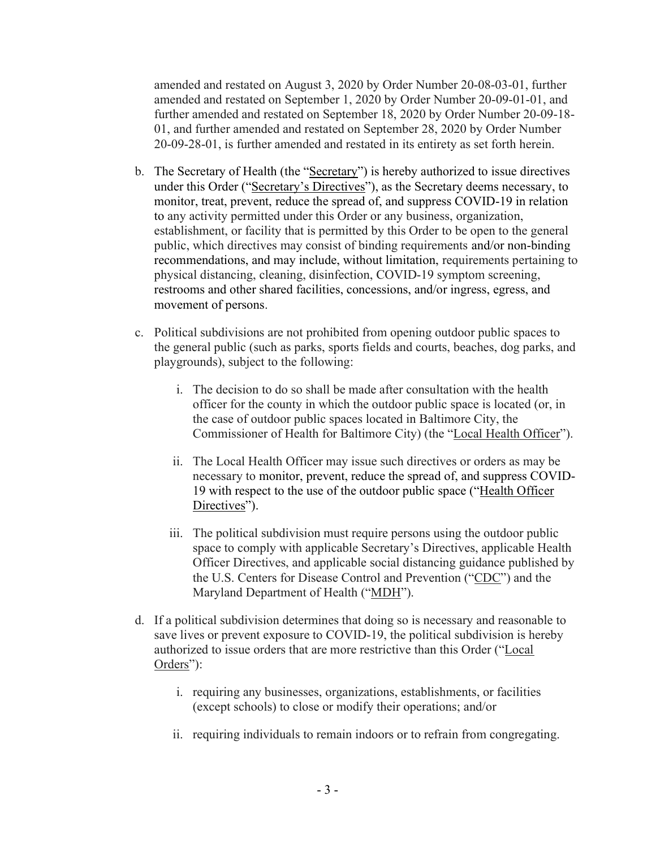amended and restated on August 3, 2020 by Order Number 20-08-03-01, further amended and restated on September 1, 2020 by Order Number 20-09-01-01, and further amended and restated on September 18, 2020 by Order Number 20-09-18- 01, and further amended and restated on September 28, 2020 by Order Number 20-09-28-01, is further amended and restated in its entirety as set forth herein.

- b. The Secretary of Health (the "Secretary") is hereby authorized to issue directives under this Order ("Secretary's Directives"), as the Secretary deems necessary, to monitor, treat, prevent, reduce the spread of, and suppress COVID-19 in relation to any activity permitted under this Order or any business, organization, establishment, or facility that is permitted by this Order to be open to the general public, which directives may consist of binding requirements and/or non-binding recommendations, and may include, without limitation, requirements pertaining to physical distancing, cleaning, disinfection, COVID-19 symptom screening, restrooms and other shared facilities, concessions, and/or ingress, egress, and movement of persons.
- c. Political subdivisions are not prohibited from opening outdoor public spaces to the general public (such as parks, sports fields and courts, beaches, dog parks, and playgrounds), subject to the following:
	- i. The decision to do so shall be made after consultation with the health officer for the county in which the outdoor public space is located (or, in the case of outdoor public spaces located in Baltimore City, the Commissioner of Health for Baltimore City) (the "Local Health Officer").
	- ii. The Local Health Officer may issue such directives or orders as may be necessary to monitor, prevent, reduce the spread of, and suppress COVID-19 with respect to the use of the outdoor public space ("Health Officer Directives").
	- iii. The political subdivision must require persons using the outdoor public space to comply with applicable Secretary's Directives, applicable Health Officer Directives, and applicable social distancing guidance published by the U.S. Centers for Disease Control and Prevention ("CDC") and the Maryland Department of Health ("MDH").
- d. If a political subdivision determines that doing so is necessary and reasonable to save lives or prevent exposure to COVID-19, the political subdivision is hereby authorized to issue orders that are more restrictive than this Order ("Local Orders"):
	- i. requiring any businesses, organizations, establishments, or facilities (except schools) to close or modify their operations; and/or
	- ii. requiring individuals to remain indoors or to refrain from congregating.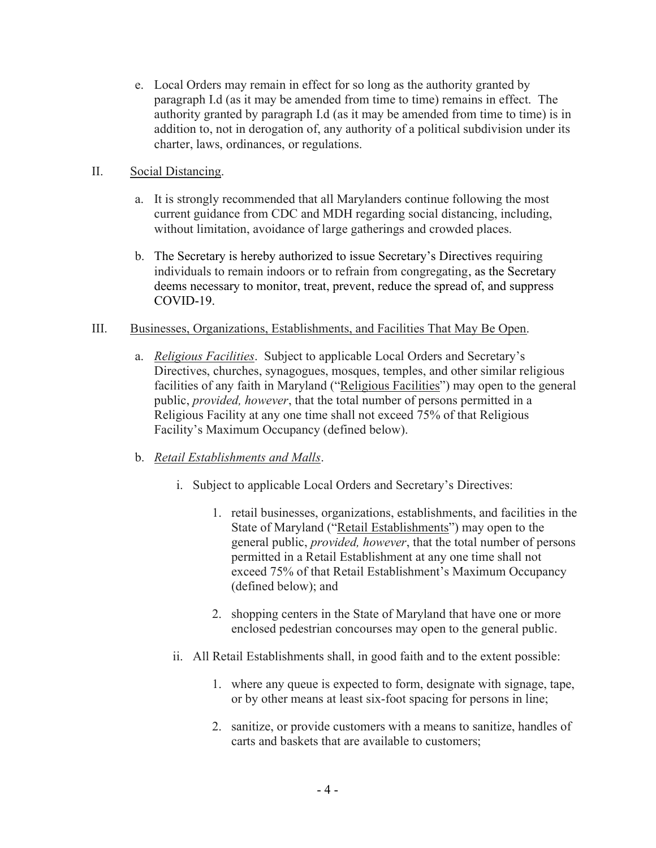e. Local Orders may remain in effect for so long as the authority granted by paragraph I.d (as it may be amended from time to time) remains in effect. The authority granted by paragraph I.d (as it may be amended from time to time) is in addition to, not in derogation of, any authority of a political subdivision under its charter, laws, ordinances, or regulations.

#### II. Social Distancing.

- a. It is strongly recommended that all Marylanders continue following the most current guidance from CDC and MDH regarding social distancing, including, without limitation, avoidance of large gatherings and crowded places.
- b. The Secretary is hereby authorized to issue Secretary's Directives requiring individuals to remain indoors or to refrain from congregating, as the Secretary deems necessary to monitor, treat, prevent, reduce the spread of, and suppress COVID-19.

#### III. Businesses, Organizations, Establishments, and Facilities That May Be Open.

a. Religious Facilities. Subject to applicable Local Orders and Secretary's Directives, churches, synagogues, mosques, temples, and other similar religious facilities of any faith in Maryland ("Religious Facilities") may open to the general public, provided, however, that the total number of persons permitted in a Religious Facility at any one time shall not exceed 75% of that Religious Facility's Maximum Occupancy (defined below).

### b. Retail Establishments and Malls.

- i. Subject to applicable Local Orders and Secretary's Directives:
	- 1. retail businesses, organizations, establishments, and facilities in the State of Maryland ("Retail Establishments") may open to the general public, provided, however, that the total number of persons permitted in a Retail Establishment at any one time shall not exceed 75% of that Retail Establishment's Maximum Occupancy (defined below); and
	- 2. shopping centers in the State of Maryland that have one or more enclosed pedestrian concourses may open to the general public.
- ii. All Retail Establishments shall, in good faith and to the extent possible:
	- 1. where any queue is expected to form, designate with signage, tape, or by other means at least six-foot spacing for persons in line;
	- 2. sanitize, or provide customers with a means to sanitize, handles of carts and baskets that are available to customers;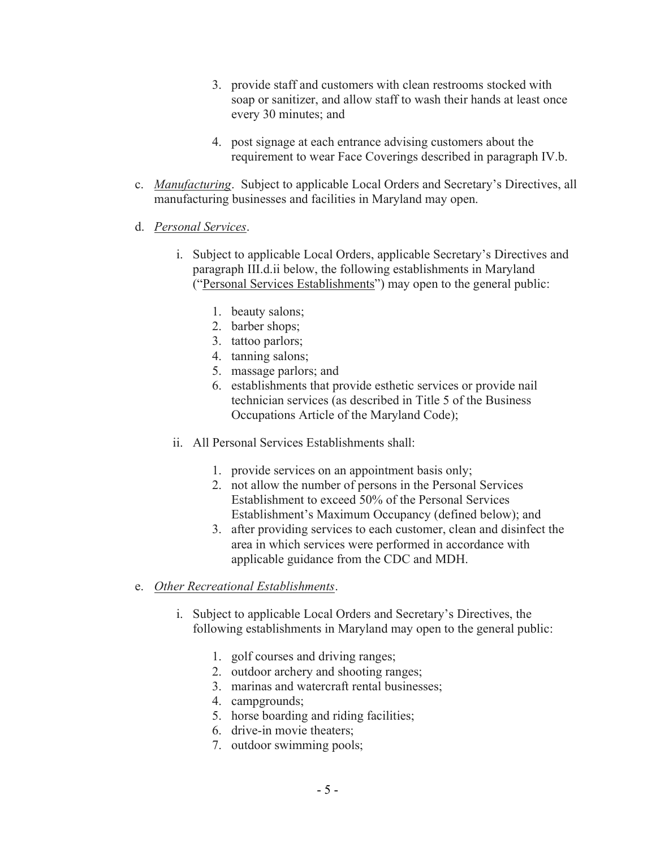- 3. provide staff and customers with clean restrooms stocked with soap or sanitizer, and allow staff to wash their hands at least once every 30 minutes; and
- 4. post signage at each entrance advising customers about the requirement to wear Face Coverings described in paragraph IV.b.
- c. Manufacturing. Subject to applicable Local Orders and Secretary's Directives, all manufacturing businesses and facilities in Maryland may open.
- d. Personal Services.
	- i. Subject to applicable Local Orders, applicable Secretary's Directives and paragraph III.d.ii below, the following establishments in Maryland ("Personal Services Establishments") may open to the general public:
		- 1. beauty salons;
		- 2. barber shops;
		- 3. tattoo parlors;
		- 4. tanning salons;
		- 5. massage parlors; and
		- 6. establishments that provide esthetic services or provide nail technician services (as described in Title 5 of the Business Occupations Article of the Maryland Code);
	- ii. All Personal Services Establishments shall:
		- 1. provide services on an appointment basis only;
		- 2. not allow the number of persons in the Personal Services Establishment to exceed 50% of the Personal Services Establishment's Maximum Occupancy (defined below); and
		- 3. after providing services to each customer, clean and disinfect the area in which services were performed in accordance with applicable guidance from the CDC and MDH.
- e. Other Recreational Establishments.
	- i. Subject to applicable Local Orders and Secretary's Directives, the following establishments in Maryland may open to the general public:
		- 1. golf courses and driving ranges;
		- 2. outdoor archery and shooting ranges;
		- 3. marinas and watercraft rental businesses;
		- 4. campgrounds;
		- 5. horse boarding and riding facilities;
		- 6. drive-in movie theaters;
		- 7. outdoor swimming pools;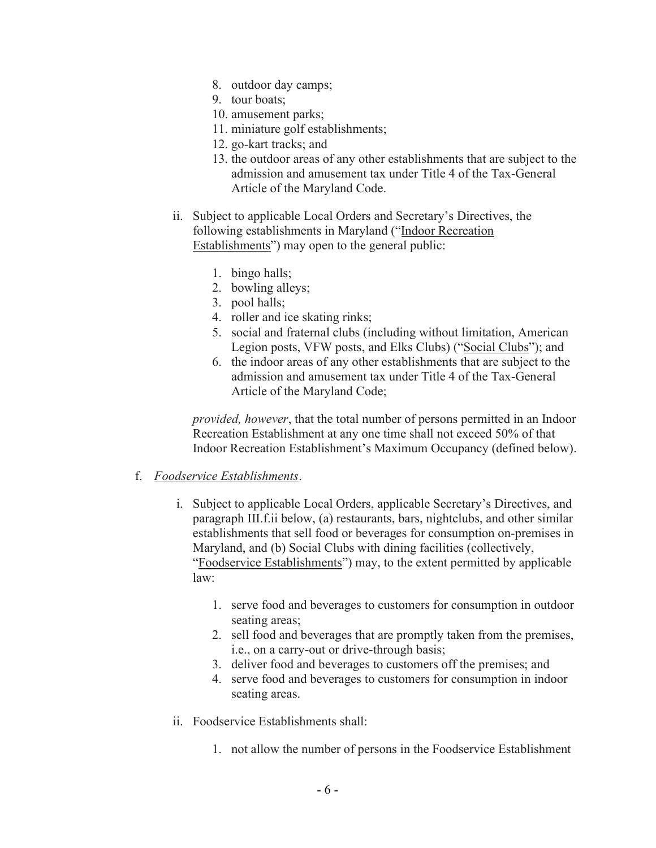- 8. outdoor day camps;
- 9. tour boats;
- 10. amusement parks;
- 11. miniature golf establishments;
- 12. go-kart tracks; and
- 13. the outdoor areas of any other establishments that are subject to the admission and amusement tax under Title 4 of the Tax-General Article of the Maryland Code.
- ii. Subject to applicable Local Orders and Secretary's Directives, the following establishments in Maryland ("Indoor Recreation Establishments") may open to the general public:
	- 1. bingo halls;
	- 2. bowling alleys;
	- 3. pool halls;
	- 4. roller and ice skating rinks;
	- 5. social and fraternal clubs (including without limitation, American Legion posts, VFW posts, and Elks Clubs) ("Social Clubs"); and
	- 6. the indoor areas of any other establishments that are subject to the admission and amusement tax under Title 4 of the Tax-General Article of the Maryland Code;

provided, however, that the total number of persons permitted in an Indoor Recreation Establishment at any one time shall not exceed 50% of that Indoor Recreation Establishment's Maximum Occupancy (defined below).

#### f. Foodservice Establishments.

- i. Subject to applicable Local Orders, applicable Secretary's Directives, and paragraph III.f.ii below, (a) restaurants, bars, nightclubs, and other similar establishments that sell food or beverages for consumption on-premises in Maryland, and (b) Social Clubs with dining facilities (collectively, "Foodservice Establishments") may, to the extent permitted by applicable law:
	- 1. serve food and beverages to customers for consumption in outdoor seating areas;
	- 2. sell food and beverages that are promptly taken from the premises, i.e., on a carry-out or drive-through basis;
	- 3. deliver food and beverages to customers off the premises; and
	- 4. serve food and beverages to customers for consumption in indoor seating areas.
- ii. Foodservice Establishments shall:
	- 1. not allow the number of persons in the Foodservice Establishment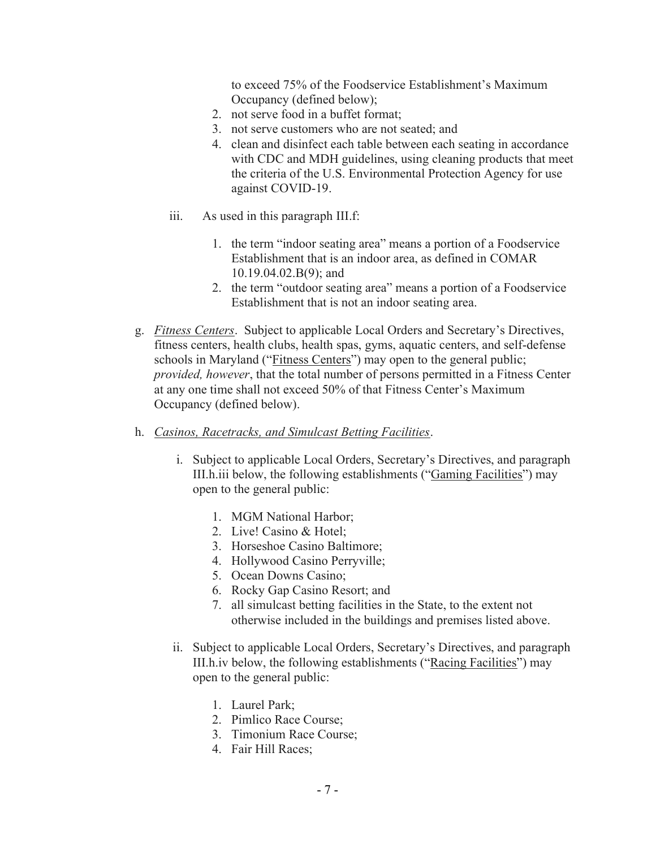to exceed 75% of the Foodservice Establishment's Maximum Occupancy (defined below);

- 2. not serve food in a buffet format;
- 3. not serve customers who are not seated; and
- 4. clean and disinfect each table between each seating in accordance with CDC and MDH guidelines, using cleaning products that meet the criteria of the U.S. Environmental Protection Agency for use against COVID-19.
- iii. As used in this paragraph III.f:
	- 1. the term "indoor seating area" means a portion of a Foodservice Establishment that is an indoor area, as defined in COMAR 10.19.04.02.B(9); and
	- 2. the term "outdoor seating area" means a portion of a Foodservice Establishment that is not an indoor seating area.
- g. Fitness Centers. Subject to applicable Local Orders and Secretary's Directives, fitness centers, health clubs, health spas, gyms, aquatic centers, and self-defense schools in Maryland ("Fitness Centers") may open to the general public; provided, however, that the total number of persons permitted in a Fitness Center at any one time shall not exceed 50% of that Fitness Center's Maximum Occupancy (defined below).
- h. Casinos, Racetracks, and Simulcast Betting Facilities.
	- i. Subject to applicable Local Orders, Secretary's Directives, and paragraph III.h.iii below, the following establishments ("Gaming Facilities") may open to the general public:
		- 1. MGM National Harbor;
		- 2. Live! Casino & Hotel;
		- 3. Horseshoe Casino Baltimore;
		- 4. Hollywood Casino Perryville;
		- 5. Ocean Downs Casino;
		- 6. Rocky Gap Casino Resort; and
		- 7. all simulcast betting facilities in the State, to the extent not otherwise included in the buildings and premises listed above.
	- ii. Subject to applicable Local Orders, Secretary's Directives, and paragraph III.h.iv below, the following establishments ("Racing Facilities") may open to the general public:
		- 1. Laurel Park;
		- 2. Pimlico Race Course;
		- 3. Timonium Race Course;
		- 4. Fair Hill Races;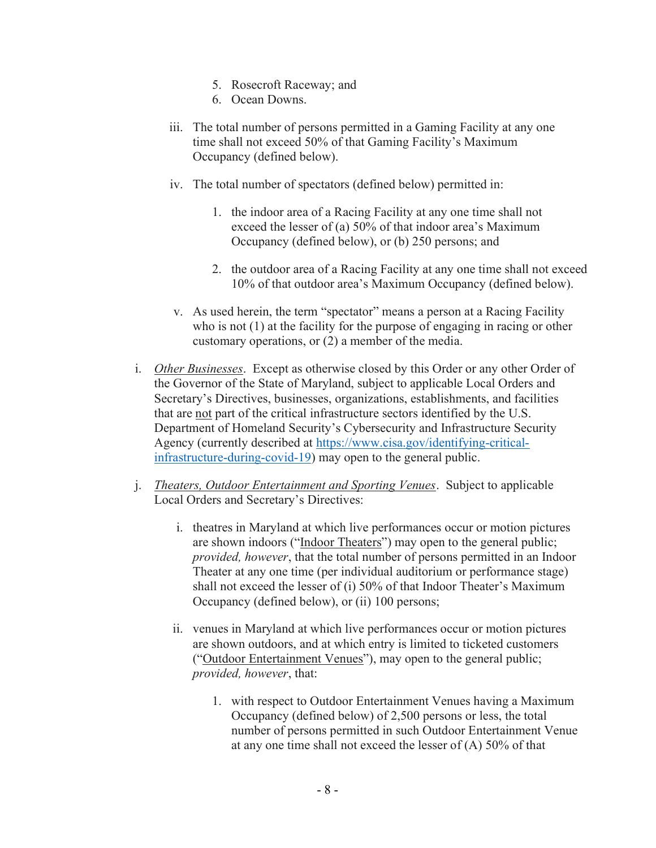- 5. Rosecroft Raceway; and
- 6. Ocean Downs.
- iii. The total number of persons permitted in a Gaming Facility at any one time shall not exceed 50% of that Gaming Facility's Maximum Occupancy (defined below).
- iv. The total number of spectators (defined below) permitted in:
	- 1. the indoor area of a Racing Facility at any one time shall not exceed the lesser of (a) 50% of that indoor area's Maximum Occupancy (defined below), or (b) 250 persons; and
	- 2. the outdoor area of a Racing Facility at any one time shall not exceed 10% of that outdoor area's Maximum Occupancy (defined below).
- v. As used herein, the term "spectator" means a person at a Racing Facility who is not (1) at the facility for the purpose of engaging in racing or other customary operations, or (2) a member of the media.
- i. Other Businesses. Except as otherwise closed by this Order or any other Order of the Governor of the State of Maryland, subject to applicable Local Orders and Secretary's Directives, businesses, organizations, establishments, and facilities that are not part of the critical infrastructure sectors identified by the U.S. Department of Homeland Security's Cybersecurity and Infrastructure Security Agency (currently described at https://www.cisa.gov/identifying-criticalinfrastructure-during-covid-19) may open to the general public.
- j. Theaters, Outdoor Entertainment and Sporting Venues. Subject to applicable Local Orders and Secretary's Directives:
	- i. theatres in Maryland at which live performances occur or motion pictures are shown indoors ("Indoor Theaters") may open to the general public; provided, however, that the total number of persons permitted in an Indoor Theater at any one time (per individual auditorium or performance stage) shall not exceed the lesser of (i) 50% of that Indoor Theater's Maximum Occupancy (defined below), or (ii) 100 persons;
	- ii. venues in Maryland at which live performances occur or motion pictures are shown outdoors, and at which entry is limited to ticketed customers ("Outdoor Entertainment Venues"), may open to the general public; provided, however, that:
		- 1. with respect to Outdoor Entertainment Venues having a Maximum Occupancy (defined below) of 2,500 persons or less, the total number of persons permitted in such Outdoor Entertainment Venue at any one time shall not exceed the lesser of (A) 50% of that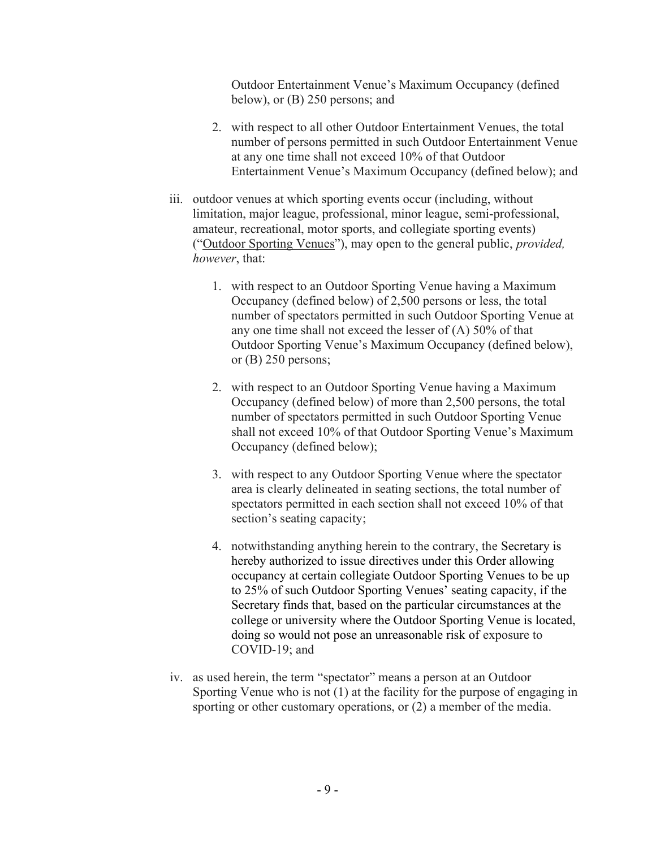Outdoor Entertainment Venue's Maximum Occupancy (defined below), or (B) 250 persons; and

- 2. with respect to all other Outdoor Entertainment Venues, the total number of persons permitted in such Outdoor Entertainment Venue at any one time shall not exceed 10% of that Outdoor Entertainment Venue's Maximum Occupancy (defined below); and
- iii. outdoor venues at which sporting events occur (including, without limitation, major league, professional, minor league, semi-professional, amateur, recreational, motor sports, and collegiate sporting events) ("Outdoor Sporting Venues"), may open to the general public, provided, however, that:
	- 1. with respect to an Outdoor Sporting Venue having a Maximum Occupancy (defined below) of 2,500 persons or less, the total number of spectators permitted in such Outdoor Sporting Venue at any one time shall not exceed the lesser of (A) 50% of that Outdoor Sporting Venue's Maximum Occupancy (defined below), or (B) 250 persons;
	- 2. with respect to an Outdoor Sporting Venue having a Maximum Occupancy (defined below) of more than 2,500 persons, the total number of spectators permitted in such Outdoor Sporting Venue shall not exceed 10% of that Outdoor Sporting Venue's Maximum Occupancy (defined below);
	- 3. with respect to any Outdoor Sporting Venue where the spectator area is clearly delineated in seating sections, the total number of spectators permitted in each section shall not exceed 10% of that section's seating capacity;
	- 4. notwithstanding anything herein to the contrary, the Secretary is hereby authorized to issue directives under this Order allowing occupancy at certain collegiate Outdoor Sporting Venues to be up to 25% of such Outdoor Sporting Venues' seating capacity, if the Secretary finds that, based on the particular circumstances at the college or university where the Outdoor Sporting Venue is located, doing so would not pose an unreasonable risk of exposure to COVID-19; and
- iv. as used herein, the term "spectator" means a person at an Outdoor Sporting Venue who is not (1) at the facility for the purpose of engaging in sporting or other customary operations, or (2) a member of the media.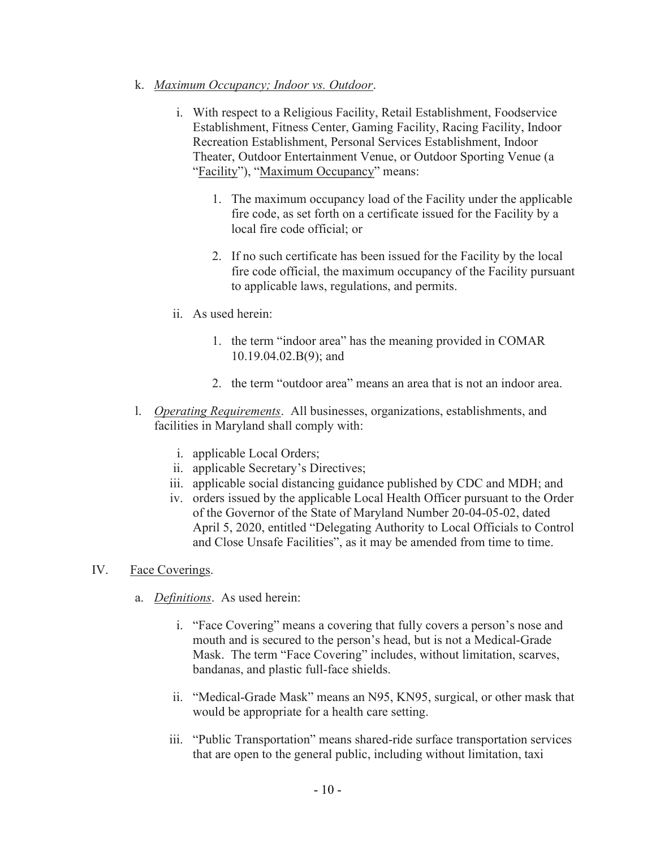#### k. Maximum Occupancy; Indoor vs. Outdoor.

- i. With respect to a Religious Facility, Retail Establishment, Foodservice Establishment, Fitness Center, Gaming Facility, Racing Facility, Indoor Recreation Establishment, Personal Services Establishment, Indoor Theater, Outdoor Entertainment Venue, or Outdoor Sporting Venue (a "Facility"), "Maximum Occupancy" means:
	- 1. The maximum occupancy load of the Facility under the applicable fire code, as set forth on a certificate issued for the Facility by a local fire code official; or
	- 2. If no such certificate has been issued for the Facility by the local fire code official, the maximum occupancy of the Facility pursuant to applicable laws, regulations, and permits.
- ii. As used herein:
	- 1. the term "indoor area" has the meaning provided in COMAR 10.19.04.02.B(9); and
	- 2. the term "outdoor area" means an area that is not an indoor area.
- l. Operating Requirements. All businesses, organizations, establishments, and facilities in Maryland shall comply with:
	- i. applicable Local Orders;
	- ii. applicable Secretary's Directives;
	- iii. applicable social distancing guidance published by CDC and MDH; and
	- iv. orders issued by the applicable Local Health Officer pursuant to the Order of the Governor of the State of Maryland Number 20-04-05-02, dated April 5, 2020, entitled "Delegating Authority to Local Officials to Control and Close Unsafe Facilities", as it may be amended from time to time.

### IV. Face Coverings.

- a. Definitions. As used herein:
	- i. "Face Covering" means a covering that fully covers a person's nose and mouth and is secured to the person's head, but is not a Medical-Grade Mask. The term "Face Covering" includes, without limitation, scarves, bandanas, and plastic full-face shields.
	- ii. "Medical-Grade Mask" means an N95, KN95, surgical, or other mask that would be appropriate for a health care setting.
	- iii. "Public Transportation" means shared-ride surface transportation services that are open to the general public, including without limitation, taxi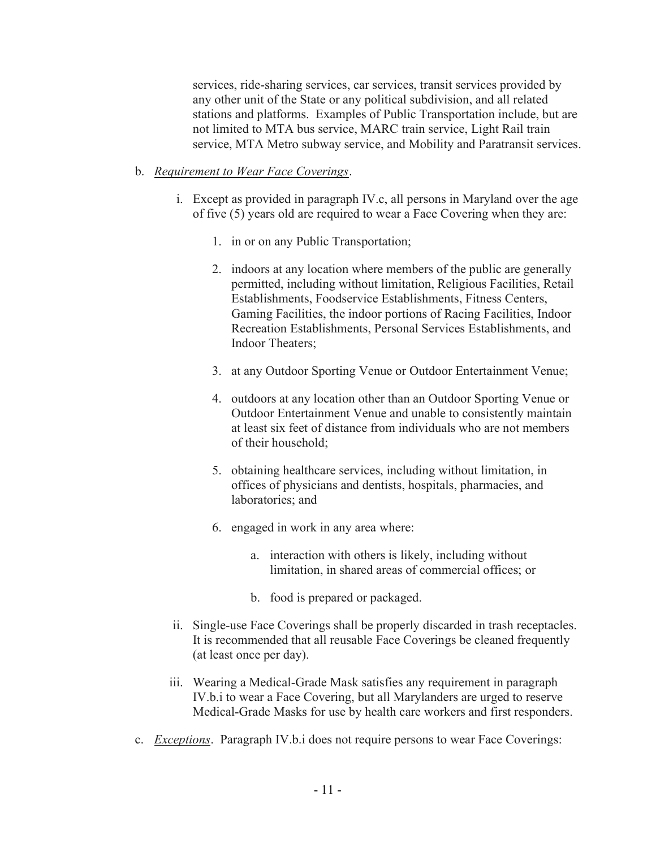services, ride-sharing services, car services, transit services provided by any other unit of the State or any political subdivision, and all related stations and platforms. Examples of Public Transportation include, but are not limited to MTA bus service, MARC train service, Light Rail train service, MTA Metro subway service, and Mobility and Paratransit services.

### b. Requirement to Wear Face Coverings.

- i. Except as provided in paragraph IV.c, all persons in Maryland over the age of five (5) years old are required to wear a Face Covering when they are:
	- 1. in or on any Public Transportation;
	- 2. indoors at any location where members of the public are generally permitted, including without limitation, Religious Facilities, Retail Establishments, Foodservice Establishments, Fitness Centers, Gaming Facilities, the indoor portions of Racing Facilities, Indoor Recreation Establishments, Personal Services Establishments, and Indoor Theaters;
	- 3. at any Outdoor Sporting Venue or Outdoor Entertainment Venue;
	- 4. outdoors at any location other than an Outdoor Sporting Venue or Outdoor Entertainment Venue and unable to consistently maintain at least six feet of distance from individuals who are not members of their household;
	- 5. obtaining healthcare services, including without limitation, in offices of physicians and dentists, hospitals, pharmacies, and laboratories; and
	- 6. engaged in work in any area where:
		- a. interaction with others is likely, including without limitation, in shared areas of commercial offices; or
		- b. food is prepared or packaged.
- ii. Single-use Face Coverings shall be properly discarded in trash receptacles. It is recommended that all reusable Face Coverings be cleaned frequently (at least once per day).
- iii. Wearing a Medical-Grade Mask satisfies any requirement in paragraph IV.b.i to wear a Face Covering, but all Marylanders are urged to reserve Medical-Grade Masks for use by health care workers and first responders.
- c. *Exceptions*. Paragraph IV.b. i does not require persons to wear Face Coverings: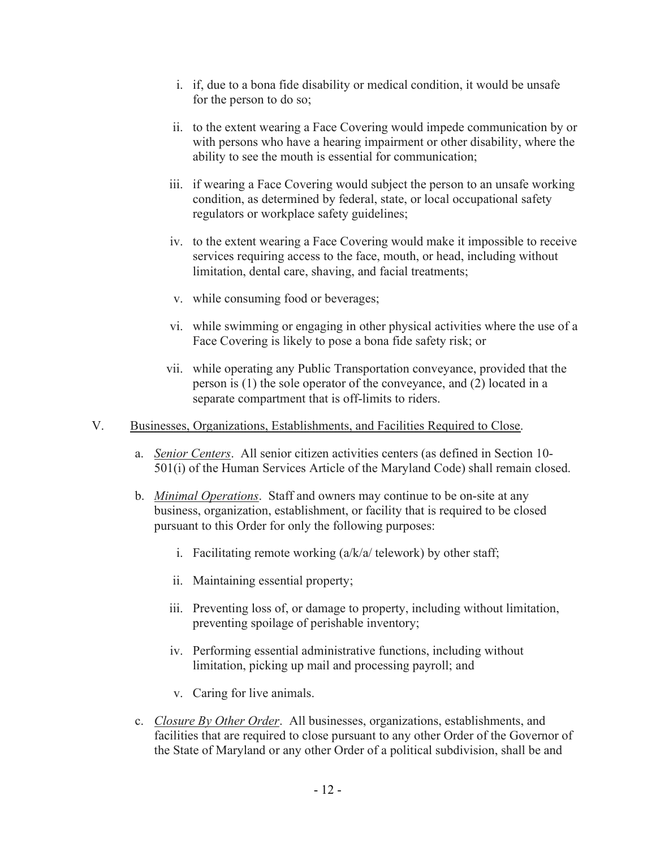- i. if, due to a bona fide disability or medical condition, it would be unsafe for the person to do so;
- ii. to the extent wearing a Face Covering would impede communication by or with persons who have a hearing impairment or other disability, where the ability to see the mouth is essential for communication;
- iii. if wearing a Face Covering would subject the person to an unsafe working condition, as determined by federal, state, or local occupational safety regulators or workplace safety guidelines;
- iv. to the extent wearing a Face Covering would make it impossible to receive services requiring access to the face, mouth, or head, including without limitation, dental care, shaving, and facial treatments;
- v. while consuming food or beverages;
- vi. while swimming or engaging in other physical activities where the use of a Face Covering is likely to pose a bona fide safety risk; or
- vii. while operating any Public Transportation conveyance, provided that the person is (1) the sole operator of the conveyance, and (2) located in a separate compartment that is off-limits to riders.
- V. Businesses, Organizations, Establishments, and Facilities Required to Close.
	- a. Senior Centers. All senior citizen activities centers (as defined in Section 10- 501(i) of the Human Services Article of the Maryland Code) shall remain closed.
	- b. *Minimal Operations*. Staff and owners may continue to be on-site at any business, organization, establishment, or facility that is required to be closed pursuant to this Order for only the following purposes:
		- i. Facilitating remote working  $\left(\frac{a}{k/a}\right)$  telework) by other staff;
		- ii. Maintaining essential property;
		- iii. Preventing loss of, or damage to property, including without limitation, preventing spoilage of perishable inventory;
		- iv. Performing essential administrative functions, including without limitation, picking up mail and processing payroll; and
		- v. Caring for live animals.
	- c. Closure By Other Order. All businesses, organizations, establishments, and facilities that are required to close pursuant to any other Order of the Governor of the State of Maryland or any other Order of a political subdivision, shall be and